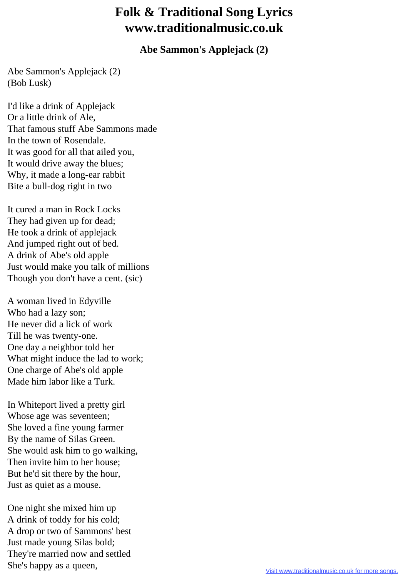## **Folk & Traditional Song Lyrics www.traditionalmusic.co.uk**

**Abe Sammon's Applejack (2)**

Abe Sammon's Applejack (2) (Bob Lusk)

I'd like a drink of Applejack Or a little drink of Ale, That famous stuff Abe Sammons made In the town of Rosendale. It was good for all that ailed you, It would drive away the blues; Why, it made a long-ear rabbit Bite a bull-dog right in two

It cured a man in Rock Locks They had given up for dead; He took a drink of applejack And jumped right out of bed. A drink of Abe's old apple Just would make you talk of millions Though you don't have a cent. (sic)

A woman lived in Edyville Who had a lazy son; He never did a lick of work Till he was twenty-one. One day a neighbor told her What might induce the lad to work; One charge of Abe's old apple Made him labor like a Turk.

In Whiteport lived a pretty girl Whose age was seventeen; She loved a fine young farmer By the name of Silas Green. She would ask him to go walking, Then invite him to her house; But he'd sit there by the hour, Just as quiet as a mouse.

One night she mixed him up A drink of toddy for his cold; A drop or two of Sammons' best Just made young Silas bold; They're married now and settled She's happy as a queen,